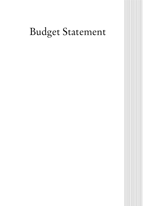## Budget Statement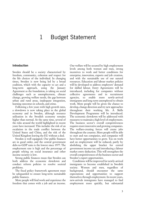## 1 Budget Statement

## **Introduction**

Sweden should be a society characterised by freedom, community, cohesion and respect for the life choices of the individual. In changing times, Sweden is now being led by a broad coalition, which with the capacity to act and a long-term approach, using the January Agreement as the foundation, is taking on social challenges such as unemployment, climate change, growing welfare needs, the gap between urban and rural areas, inadequate integration, learning outcomes in schools, and crime.

Following a few years with high growth rates, a slowdown is now taking place in the global economy and in Sweden, although resource utilisation in the Swedish economy remains higher than normal. At the same time, several of the risks around the world highlighted in recent years have increased. This includes the risk of an escalation in the trade conflict between the United States and China, and the risk of the United Kingdom leaving the EU without a deal.

Sweden is well equipped. Our public finances are in good order, and the central government debt-to-GDP ratio is the lowest since 1977. The employment rate is high and the percentage of people relying on social insurance and other income security is low.

Strong public finances mean that Sweden can both address the economic slowdown and conduct reform policies to resolve societal problems.

The fiscal policy framework agreement must be safeguarded to ensure long-term sustainable public finances.

More people will find work and experience the freedom that comes with a job and an income.

Our welfare will be secured by high employment levels among both women and men, strong incentives to work and better conditions for enterprise, innovation, exports and job creation, and with the sustainable use of our natural resources. Education and labour market policies will be developed to address employers' demand for skilled labour. Entry Agreements will be introduced, including for companies without collective agreements and in recruitment agencies, to enable more newly-arrived immigrants and long-term unemployed to obtain work. More people will be given the chance to develop, change direction and try new approaches throughout their working life. A Skills Development Programme will be introduced. The economic slowdown will be addressed with measures to maintain a high level of employment. The business sector's overall competitiveness requires more innovative and growing companies. The welfare-creating forces will create jobs throughout the country. More people will be able to start and run companies, and companies will have better opportunities to grow. Tax on work and on employment will be reduced, partly by abolishing the upper bracket for central government income tax and introducing a labour market entry deduction. This will strengthen the overall competitiveness of the business sector and Sweden's export opportunities.

Conditions will be improved for newly-arrived immigrants to become established in Swedish society. Women and men, regardless of background, should encounter the same expectations and opportunities to support themselves through employment. In recent years, new-arrivals immigrants have managed to find employment more quickly, but substantial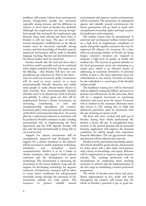problems still remain. Labour force participation among foreign-born people has increased, especially among women, and the difference in relation to those born in Sweden has declined. Although the employment rate among foreignborn people has increased, the employment gap between those born abroad and those born in Sweden is still too large. The pace of newlyarrived immigrants' establishment on the labour market must be increased, especially among women, and their knowledge of Swedish must be improved. Investments will be made in Swedish language teaching. Racism and discrimination in the labour market must be countered.

Sweden should take the lead and show that a fossil-free world is possible and can be combined with a higher standard of living. The target set by the Riksdag – that Sweden will have net zero greenhouse gas emissions by 2045 at the latest – must be achieved. Economic policy instruments will be used to move society in a more environmentally friendly direction and enable more people to make climate-smart choices in their everyday lives. Environmentally harmful subsidies need to be phased out, both in Sweden and globally. A robust green tax shift will be implemented. Society's climate investments are increasing, contributing to jobs and entrepreneurship throughout the country. Economic policy must promote the achievement of Sweden's environmental objectives. An action plan for a substantial reduction in emissions will be produced. Swedish continues to play a leading international role in implementing the Paris Agreement and the 2030 Agenda. Sweden will also take the lead internationally in being able to tax fossil jet fuel.

Support for climate investments will be strengthened, improved and developed. The support for a climate transition in the industry will be increased to enable important technology transitions and strengthen future competitiveness. Sweden is to be a leader in climate transition, with regard to both reduced emissions and the development of green technology. The Government is increasing the investment in the Green Industry Leap and the support for developing technology for negative emissions. Furthermore, measures will be taken to create better conditions for self-generated renewable energy through the extension of the investment subsidy for solar panels. The resources to protect valuable natural environments and improve marine environments will be increased. The protection of endangered species and valuable natural environments for future generations will go hand in hand with strengthened ownership rights and legal security for landowners and companies.

The welfare system must be strengthened. A universal and tax-financed welfare system based on a high level of employment contributes to equity and gender equality, and paves the way for improved life chances for everyone. At a time when an increasing number of Swedes are living longer, extensive resources are required to maintain a high level of quality in health and medical care. The increase in general subsidies to the local government sector are continuing at a steady pace, which is an effective means of addressing an economic slowdown. A universal welfare system is the most important force for redistribution in our society. Freedom of choice for the individual is a central part of the Swedish welfare model.

The healthcare waiting lists will be shortened with an updated 'waiting list billion' and access to primary care will increase. At the same time, there will be a targeted investment in continuing education and career posts for nurses. Everyone who is entitled to the assistance allowance must also receive it. The waiting lists to child and adolescent psychiatry must be shortened, with the aim of having no queues at all.

All those who have worked and paid tax in Sweden during their whole professional life deserve a secure old age. A strengthened basic security in the general pension and an increased housing supplement will improve the financial conditions for elderly people who experience financial difficulties. The tax gap between salary and pension will be reduced and removed.

Sweden is to be a prominent knowledge nation. All schools should be good schools, characterised by order, peace and a calm study environment, with a focus on knowledge, and equity. Reforms will be implemented to improve equity between schools. The teaching profession will be strengthened by employing more teaching assistants in schools and the implementation of the first stage in establishing a teacher profession programme.

The whole of Sweden must thrive and grow. Better opportunities to live, study and work throughout the country will ensure that the whole of Sweden's potential is put to good use.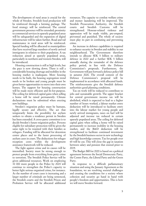The development of rural areas is crucial for the whole of Sweden. Swedish food production will be reinforced through a farming package. The food strategy will be reinforced. The central government presence will be extended; proximity to commercial services in sparsely populated areas will be safeguarded and the expansion of digital infrastructure will be taken further. Road and rail maintenance in rural areas will be reinforced. Special funding will be allocated to municipalities that have received large numbers of newly arrived immigrants in relation to their population. A tax reduction aimed at sparsely populated areas, particularly in northern and western Sweden, will be introduced.

Housing construction is still at high levels, but the pace is now slowing down. There is still a considerable housing shortage and mobility in the housing market is inadequate. More housing needs to be built, the housing segregation trend needs to be broken and young people must be given better opportunities to move into their own homes. The support for housing construction will be made more efficient and fit-for-purpose. The ceiling for deferred capital gains when selling a home will be raised permanently. Climate declarations must be submitted when erecting new buildings.

Sweden's migration policy must be humane, legally secure and effective. The act that temporarily limits the possibility for asylum seekers to obtain a residence permit in Sweden has been extended. A cross-party committee is to decide Sweden's future migration policy. Persons eligible for subsidiary protection will be given the same right to be reunited with their families as refugees. Funding will be allocated for detention centre places and to the faster processing of asylum cases in court. The deductions for refugee reception costs within the development assistance framework will be reduced.

The fight against crime and its causes will be intensified. Society must be strong enough to protect people from everything from petty crime to terrorism. The Swedish Police Service will be given additional resources. Work on employing 10 000 more people in the Police by 2024 will continue to strengthen the Police's capacity to better fight serious organised crime, for instance. As the number of court cases is increasing and a larger number of criminals are being sentenced, the Swedish courts and the Swedish Prison and Probation Service will be allocated additional

resources. The capacity to combat welfare crime and money laundering will be improved. The Swedish Prosecution Authority, the Swedish courts and Swedish Customs will be strengthened. Honour-related violence and oppression will be made visible, pre-empted, prevented and punished. The whole of society must play its part in combating and preventing crime.

An increase in defence capabilities is required to enhance security in Sweden and stability in our neighbourhood. The Government therefore intends to allocate SEK 5 billion to military defence in 2022 and a further SEK 5 billion annually during the remainder of the defence policy period, in line with the Defence Commission's proposals. Furthermore, the Government will put forward a defence policy bill in autumn 2020. The overall content of the Defence Commission's proposal will be implemented in accordance with allocated funds. The reinforcements give the Swedish defence authorities good planning conditions.

Tax on work will be reduced to contribute to jobs and sustainable growth. The upper bracket for central government income tax will be abolished, which is expected to lead to a higher number of hours worked, a labour market entry deduction will be introduced to facilitate entry into the labour market for young people and newly arrived immigrants, taxes on fuel will be adjusted and income tax reduced in certain sparsely populated areas. The ceiling for deferred capital gains when selling a home will be raised permanently to increase mobility in the housing market, and the R&D deduction will be strengthened to facilitate continued investment by the Swedish business sector in new technology and high knowledge content. Tax for people over 65 will be cut. This will close the gap in taxation between salary and pension that existed prior to 2019.

The Budget Bill for 2020 is based on a political agreement between the Social Democratic Party, the Centre Party, the Liberal Party and the Green Party.

In response to a difficult parliamentary situation and using the January Agreement as the foundation, we are resolving societal challenges and creating the conditions for a society where cohesion and security go hand in hand with people's freedom and opportunities. This is how we will move Sweden forward.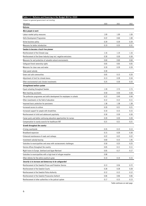| Table 1.1 Reforms and financing in the Budget Bill for 2020              |      |      |      |
|--------------------------------------------------------------------------|------|------|------|
| Impact on general government net lending                                 |      |      |      |
| <b>SEK billion</b>                                                       | 2020 | 2021 | 2022 |
| Reforms                                                                  |      |      |      |
| More people in work                                                      |      |      |      |
| Labour market policy measures                                            | 1.09 | 1.09 | 1.09 |
| Skills Development Programme                                             | 0.22 | 0.60 | 1.00 |
| Active business policy                                                   | 0.39 | 0.39 | 0.39 |
| Measures for better introduction                                         | 0.19 | 0.35 | 0.31 |
| Sweden to become a fossil-free pioneer                                   |      |      |      |
| Reinforcement of the Climate Leap                                        | 1.16 | 1.14 | 1.16 |
| Reinforcement of the Green Industry Leap incl. negative emissions        | 0.30 | 0.30 | 0.30 |
| Measures for and protection of valuable natural environments             | 0.60 | 0.60 | 0.60 |
| Safeguard forest ownership rights                                        | 0.05 | 0.05 | 0.05 |
| Measures for clean seas and water                                        | 0.39 | 0.39 | 0.39 |
| Solar panel subsidy                                                      | 0.30 |      |      |
| Green and safe communities                                               | 0.05 | 0.15 | 0.20 |
| Adjustment of limit for climate bonus                                    | 0.13 | 0.28 | 0.34 |
| Other environmental and climate investments                              | 0.25 | 0.30 | 0.33 |
| Strengthened welfare system                                              |      |      |      |
| Equal schooling throughout Sweden                                        | 1.39 | 2.73 | 2.73 |
| More teaching assistants                                                 | 0.50 | 0.50 | 0.50 |
| The profession programme and skills development for employees in schools | 0.22 | 0.49 | 0.44 |
| Other investments in the field of education                              | 0.12 | 0.12 | 0.11 |
| Improved basic protection for pensioners                                 | 1.38 | 1.38 | 1.38 |
| Increased access to culture                                              | 0.20 | 0.21 | 0.21 |
| Increased support for people with disabilities                           | 0.10 | 0.15 | 0.15 |
| Reinforcement of child and adolescent psychiatry                         | 0.30 | 0.30 | 0.30 |
| Career posts and better continuing education opportunities for nurses    | 0.20 | 0.20 | 0.20 |
| Compensation to county councils for healthcare VAT                       | 0.21 | 0.21 | 0.21 |
| Growth throughout the country                                            |      |      |      |
| A living countryside                                                     | 0.35 | 0.13 | 0.13 |
| Broadband expansion                                                      | 0.15 | 0.20 | 0.30 |
| Enhanced maintenance of roads and railways                               | 0.22 | 0.22 | 0.22 |
| Investment subsidy housing                                               | 0.60 | 0.15 | 1.45 |
| Subsidies to municipalities and areas with socioeconomic challenges      | 0.50 | 0.25 | 0.25 |
| Service offices throughout the country                                   | 0.05 | 0.11 | 0.11 |
| Night trains to Europe. Jämtland and Upper Norrland                      | 0.05 | 0.17 | 0.17 |
| Subsidies to municipalities with a high level of refugee reception       | 0.08 |      |      |
| Other reforms for the entire country to grow                             | 0.14 | 0.14 | 0.15 |
| Security is to increase and democracy to be safeguarded                  |      |      |      |
| Reinforcement of the Swedish Prison and Probation Service                | 0.13 | 0.56 | 0.72 |
| Reinforcement of the Swedish Courts                                      | 0.28 | 0.28 | 0.28 |
| Reinforcement of the Swedish Police Authority                            | 0.12 | 0.12 | 0.12 |
| Reinforcement of the Swedish Prosecution Authorit                        | 0.06 | 0.06 | 0.06 |
| Reinforcement of other authorities in the judicial system                | 0.17 | 0.15 | 0.13 |

Table continues on next page